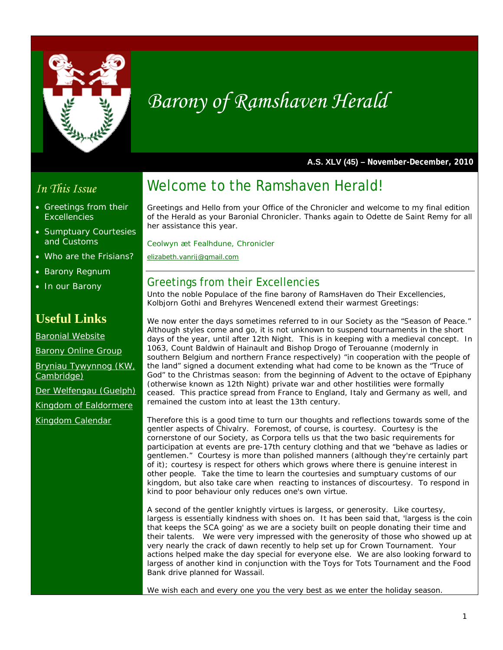

# *Barony of Ramshaven Herald*

**A.S. XLV (45) – November-December, 2010** 

## *In This Issue*

- Greetings from their **Excellencies**
- Sumptuary Courtesies and Customs
- Who are the Frisians?
- Barony Regnum
- In our Barony

# **Useful Links**

Baronial Website

Barony Online Group

Bryniau Tywynnog (KW, Cambridge)

Der Welfengau (Guelph)

Kingdom of Ealdormere

Kingdom Calendar

# Welcome to the Ramshaven Herald!

Greetings and Hello from your Office of the Chronicler and welcome to my final edition of the Herald as your Baronial Chronicler. Thanks again to Odette de Saint Remy for all her assistance this year.

*Ceolwyn æt Fealhdune, Chronicler* 

*elizabeth.vanrij@gmail.com*

### Greetings from their Excellencies

Unto the noble Populace of the fine barony of RamsHaven do Their Excellencies, Kolbjorn Gothi and Brehyres Wencenedl extend their warmest Greetings:

We now enter the days sometimes referred to in our Society as the "Season of Peace." Although styles come and go, it is not unknown to suspend tournaments in the short days of the year, until after 12th Night. This is in keeping with a medieval concept. In 1063, Count Baldwin of Hainault and Bishop Drogo of Terouanne (modernly in southern Belgium and northern France respectively) "in cooperation with the people of the land" signed a document extending what had come to be known as the "Truce of God" to the Christmas season: from the beginning of Advent to the octave of Epiphany (otherwise known as 12th Night) private war and other hostilities were formally ceased. This practice spread from France to England, Italy and Germany as well, and remained the custom into at least the 13th century.

Therefore this is a good time to turn our thoughts and reflections towards some of the gentler aspects of Chivalry. Foremost, of course, is courtesy. Courtesy is the cornerstone of our Society, as Corpora tells us that the two basic requirements for participation at events are pre-17th century clothing and that we "behave as ladies or gentlemen." Courtesy is more than polished manners (although they're certainly part of it); courtesy is respect for others which grows where there is genuine interest in other people. Take the time to learn the courtesies and sumptuary customs of our kingdom, but also take care when reacting to instances of discourtesy. To respond in kind to poor behaviour only reduces one's own virtue.

A second of the gentler knightly virtues is largess, or generosity. Like courtesy, largess is essentially kindness with shoes on. It has been said that, 'largess is the coin that keeps the SCA going' as we are a society built on people donating their time and their talents. We were very impressed with the generosity of those who showed up at very nearly the crack of dawn recently to help set up for Crown Tournament. Your actions helped make the day special for everyone else. We are also looking forward to largess of another kind in conjunction with the Toys for Tots Tournament and the Food Bank drive planned for Wassail.

We wish each and every one you the very best as we enter the holiday season.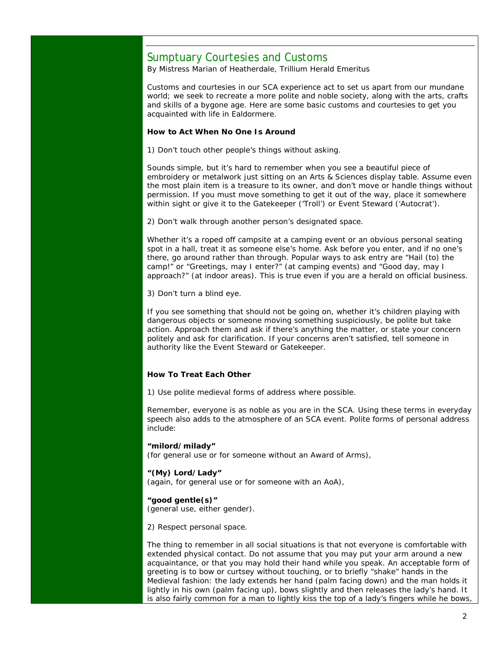### Sumptuary Courtesies and Customs

By Mistress Marian of Heatherdale, Trillium Herald Emeritus

Customs and courtesies in our SCA experience act to set us apart from our mundane world; we seek to recreate a more polite and noble society, along with the arts, crafts and skills of a bygone age. Here are some basic customs and courtesies to get you acquainted with life in Ealdormere.

#### **How to Act When No One Is Around**

1) Don't touch other people's things without asking.

Sounds simple, but it's hard to remember when you see a beautiful piece of embroidery or metalwork just sitting on an Arts & Sciences display table. Assume even the most plain item is a treasure to its owner, and don't move or handle things without permission. If you must move something to get it out of the way, place it somewhere within sight or give it to the Gatekeeper ('Troll') or Event Steward ('Autocrat').

2) Don't walk through another person's designated space.

Whether it's a roped off campsite at a camping event or an obvious personal seating spot in a hall, treat it as someone else's home. Ask before you enter, and if no one's there, go around rather than through. Popular ways to ask entry are "Hail (to) the camp!" or "Greetings, may I enter?" (at camping events) and "Good day, may I approach?" (at indoor areas). This is true even if you are a herald on official business.

3) Don't turn a blind eye.

If you see something that should not be going on, whether it's children playing with dangerous objects or someone moving something suspiciously, be polite but take action. Approach them and ask if there's anything the matter, or state your concern politely and ask for clarification. If your concerns aren't satisfied, tell someone in authority like the Event Steward or Gatekeeper.

#### **How To Treat Each Other**

1) Use polite medieval forms of address where possible.

Remember, everyone is as noble as you are in the SCA. Using these terms in everyday speech also adds to the atmosphere of an SCA event. Polite forms of personal address include:

#### **"milord/milady"**

(for general use or for someone without an Award of Arms),

#### **"(My) Lord/Lady"**

(again, for general use or for someone with an AoA),

#### **"good gentle(s)"**

(general use, either gender).

2) Respect personal space.

The thing to remember in all social situations is that not everyone is comfortable with extended physical contact. Do not assume that you may put your arm around a new acquaintance, or that you may hold their hand while you speak. An acceptable form of greeting is to bow or curtsey without touching, or to briefly "shake" hands in the Medieval fashion: the lady extends her hand (palm facing down) and the man holds it lightly in his own (palm facing up), bows slightly and then releases the lady's hand. It is also fairly common for a man to lightly kiss the top of a lady's fingers while he bows,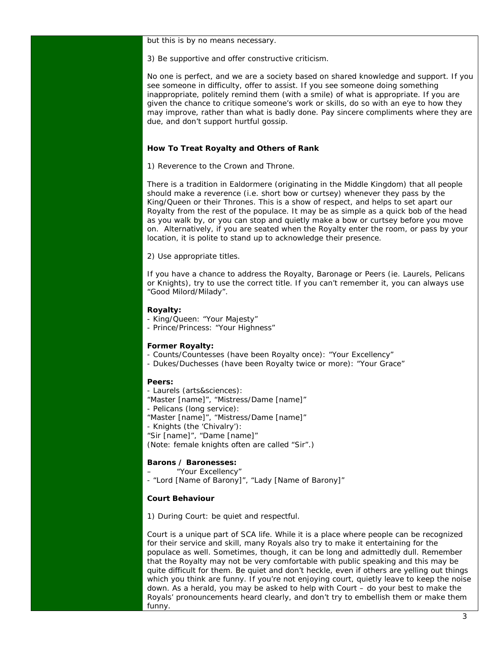but this is by no means necessary.

3) Be supportive and offer constructive criticism.

No one is perfect, and we are a society based on shared knowledge and support. If you see someone in difficulty, offer to assist. If you see someone doing something inappropriate, politely remind them (with a smile) of what is appropriate. If you are given the chance to critique someone's work or skills, do so with an eye to how they may improve, rather than what is badly done. Pay sincere compliments where they are due, and don't support hurtful gossip.

#### **How To Treat Royalty and Others of Rank**

1) Reverence to the Crown and Throne.

There is a tradition in Ealdormere (originating in the Middle Kingdom) that all people should make a reverence (i.e. short bow or curtsey) whenever they pass by the King/Queen or their Thrones. This is a show of respect, and helps to set apart our Royalty from the rest of the populace. It may be as simple as a quick bob of the head as you walk by, or you can stop and quietly make a bow or curtsey before you move on. Alternatively, if you are seated when the Royalty enter the room, or pass by your location, it is polite to stand up to acknowledge their presence.

2) Use appropriate titles.

If you have a chance to address the Royalty, Baronage or Peers (ie. Laurels, Pelicans or Knights), try to use the correct title. If you can't remember it, you can always use "Good Milord/Milady".

#### **Royalty:**

- King/Queen: "Your Majesty"
- Prince/Princess: "Your Highness"

#### **Former Royalty:**

- Counts/Countesses (have been Royalty once): "Your Excellency"
- Dukes/Duchesses (have been Royalty twice or more): "Your Grace"

#### **Peers:**

- Laurels (arts&sciences):
- "Master [name]", "Mistress/Dame [name]"
- Pelicans (long service):
- "Master [name]", "Mistress/Dame [name]"
- Knights (the 'Chivalry'):
- "Sir [name]", "Dame [name]"

(Note: female knights often are called "Sir".)

#### **Barons / Baronesses:**

– "Your Excellency"

- "Lord [Name of Barony]", "Lady [Name of Barony]"

#### **Court Behaviour**

1) During Court: be quiet and respectful.

Court is a unique part of SCA life. While it is a place where people can be recognized for their service and skill, many Royals also try to make it entertaining for the populace as well. Sometimes, though, it can be long and admittedly dull. Remember that the Royalty may not be very comfortable with public speaking and this may be quite difficult for them. Be quiet and don't heckle, even if others are yelling out things which you think are funny. If you're not enjoying court, quietly leave to keep the noise down. As a herald, you may be asked to help with Court – do your best to make the Royals' pronouncements heard clearly, and don't try to embellish them or make them funny.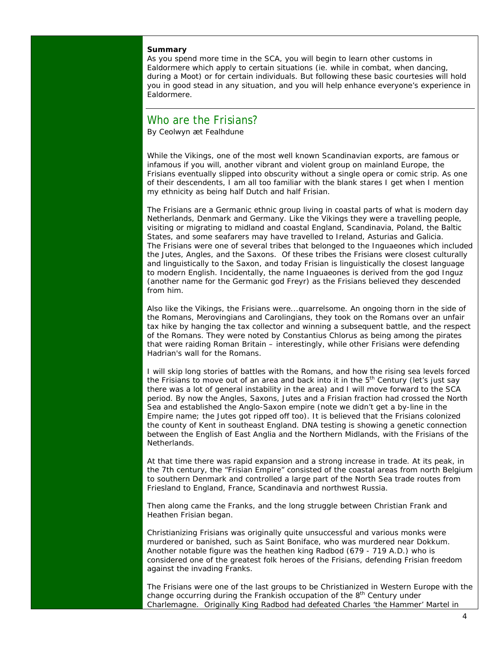#### **Summary**

As you spend more time in the SCA, you will begin to learn other customs in Ealdormere which apply to certain situations (ie. while in combat, when dancing, during a Moot) or for certain individuals. But following these basic courtesies will hold you in good stead in any situation, and you will help enhance everyone's experience in Ealdormere.

### Who are the Frisians?

By Ceolwyn æt Fealhdune

While the Vikings, one of the most well known Scandinavian exports, are famous or infamous if you will, another vibrant and violent group on mainland Europe, the Frisians eventually slipped into obscurity without a single opera or comic strip. As one of their descendents, I am all too familiar with the blank stares I get when I mention my ethnicity as being half Dutch and half Frisian.

The Frisians are a Germanic ethnic group living in coastal parts of what is modern day Netherlands, Denmark and Germany. Like the Vikings they were a travelling people, visiting or migrating to midland and coastal England, Scandinavia, Poland, the Baltic States, and some seafarers may have travelled to Ireland, Asturias and Galicia. The Frisians were one of several tribes that belonged to the Inguaeones which included the Jutes, Angles, and the Saxons. Of these tribes the Frisians were closest culturally and linguistically to the Saxon, and today Frisian is linguistically the closest language to modern English. Incidentally, the name Inguaeones is derived from the god Inguz (another name for the Germanic god Freyr) as the Frisians believed they descended from him.

Also like the Vikings, the Frisians were...quarrelsome. An ongoing thorn in the side of the Romans, Merovingians and Carolingians, they took on the Romans over an unfair tax hike by hanging the tax collector and winning a subsequent battle, and the respect of the Romans. They were noted by Constantius Chlorus as being among the pirates that were raiding Roman Britain – interestingly, while other Frisians were defending Hadrian's wall for the Romans.

I will skip long stories of battles with the Romans, and how the rising sea levels forced the Frisians to move out of an area and back into it in the  $5<sup>th</sup>$  Century (let's just say there was a lot of general instability in the area) and I will move forward to the SCA period. By now the Angles, Saxons, Jutes and a Frisian fraction had crossed the North Sea and established the Anglo-Saxon empire (note we didn't get a by-line in the Empire name; the Jutes got ripped off too). It is believed that the Frisians colonized the county of Kent in southeast England. DNA testing is showing a genetic connection between the English of East Anglia and the Northern Midlands, with the Frisians of the Netherlands.

At that time there was rapid expansion and a strong increase in trade. At its peak, in the 7th century, the "Frisian Empire" consisted of the coastal areas from north Belgium to southern Denmark and controlled a large part of the North Sea trade routes from Friesland to England, France, Scandinavia and northwest Russia.

Then along came the Franks, and the long struggle between Christian Frank and Heathen Frisian began.

Christianizing Frisians was originally quite unsuccessful and various monks were murdered or banished, such as Saint Boniface, who was murdered near Dokkum. Another notable figure was the heathen king Radbod (679 - 719 A.D.) who is considered one of the greatest folk heroes of the Frisians, defending Frisian freedom against the invading Franks.

The Frisians were one of the last groups to be Christianized in Western Europe with the change occurring during the Frankish occupation of the  $8<sup>th</sup>$  Century under Charlemagne. Originally King Radbod had defeated Charles 'the Hammer' Martel in